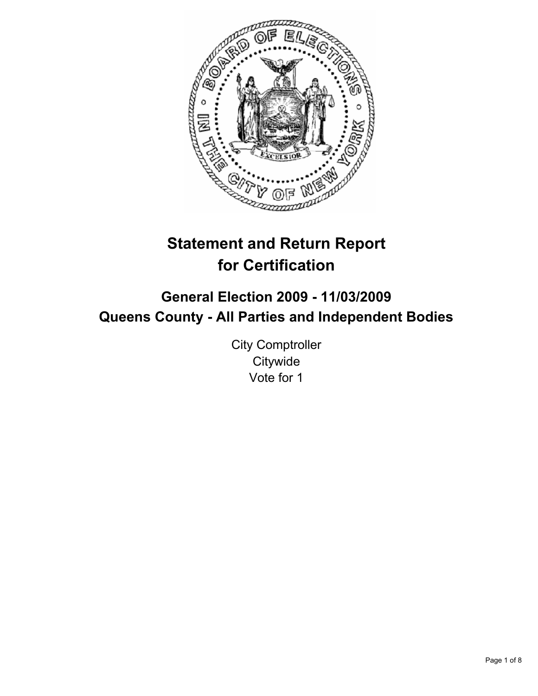

# **Statement and Return Report for Certification**

# **General Election 2009 - 11/03/2009 Queens County - All Parties and Independent Bodies**

City Comptroller **Citywide** Vote for 1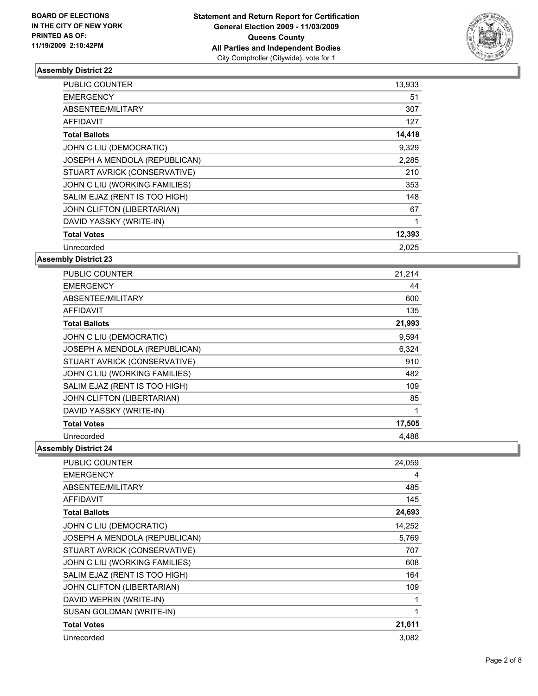

| PUBLIC COUNTER                | 13,933 |
|-------------------------------|--------|
| <b>EMERGENCY</b>              | 51     |
| ABSENTEE/MILITARY             | 307    |
| AFFIDAVIT                     | 127    |
| <b>Total Ballots</b>          | 14,418 |
| JOHN C LIU (DEMOCRATIC)       | 9,329  |
| JOSEPH A MENDOLA (REPUBLICAN) | 2,285  |
| STUART AVRICK (CONSERVATIVE)  | 210    |
| JOHN C LIU (WORKING FAMILIES) | 353    |
| SALIM EJAZ (RENT IS TOO HIGH) | 148    |
| JOHN CLIFTON (LIBERTARIAN)    | 67     |
| DAVID YASSKY (WRITE-IN)       | 1      |
| <b>Total Votes</b>            | 12,393 |
| Unrecorded                    | 2,025  |

**Assembly District 23**

| PUBLIC COUNTER                | 21,214 |
|-------------------------------|--------|
| EMERGENCY                     | 44     |
| ABSENTEE/MILITARY             | 600    |
| <b>AFFIDAVIT</b>              | 135    |
| <b>Total Ballots</b>          | 21,993 |
| JOHN C LIU (DEMOCRATIC)       | 9,594  |
| JOSEPH A MENDOLA (REPUBLICAN) | 6,324  |
| STUART AVRICK (CONSERVATIVE)  | 910    |
| JOHN C LIU (WORKING FAMILIES) | 482    |
| SALIM EJAZ (RENT IS TOO HIGH) | 109    |
| JOHN CLIFTON (LIBERTARIAN)    | 85     |
| DAVID YASSKY (WRITE-IN)       | 1      |
| <b>Total Votes</b>            | 17,505 |
| Unrecorded                    | 4.488  |

| <b>PUBLIC COUNTER</b>         | 24,059 |
|-------------------------------|--------|
| <b>EMERGENCY</b>              | 4      |
| ABSENTEE/MILITARY             | 485    |
| <b>AFFIDAVIT</b>              | 145    |
| <b>Total Ballots</b>          | 24,693 |
| JOHN C LIU (DEMOCRATIC)       | 14,252 |
| JOSEPH A MENDOLA (REPUBLICAN) | 5,769  |
| STUART AVRICK (CONSERVATIVE)  | 707    |
| JOHN C LIU (WORKING FAMILIES) | 608    |
| SALIM EJAZ (RENT IS TOO HIGH) | 164    |
| JOHN CLIFTON (LIBERTARIAN)    | 109    |
| DAVID WEPRIN (WRITE-IN)       |        |
| SUSAN GOLDMAN (WRITE-IN)      | 1      |
| <b>Total Votes</b>            | 21,611 |
| Unrecorded                    | 3,082  |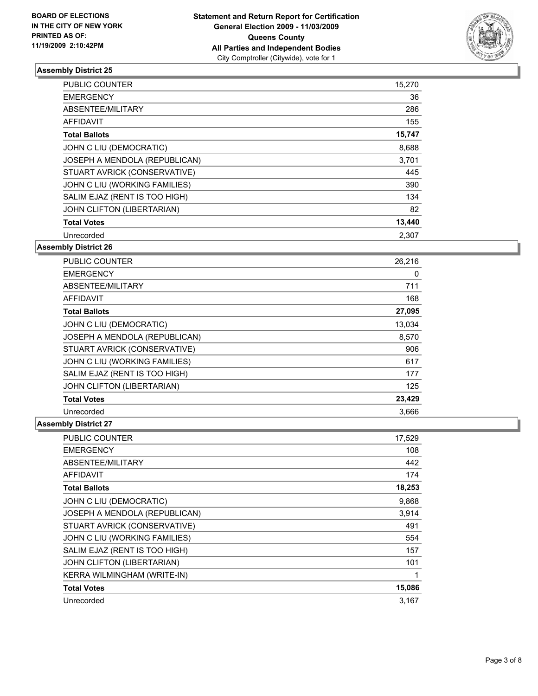

| PUBLIC COUNTER                | 15,270 |
|-------------------------------|--------|
| <b>EMERGENCY</b>              | 36     |
| ABSENTEE/MILITARY             | 286    |
| AFFIDAVIT                     | 155    |
| <b>Total Ballots</b>          | 15,747 |
| JOHN C LIU (DEMOCRATIC)       | 8,688  |
| JOSEPH A MENDOLA (REPUBLICAN) | 3,701  |
| STUART AVRICK (CONSERVATIVE)  | 445    |
| JOHN C LIU (WORKING FAMILIES) | 390    |
| SALIM EJAZ (RENT IS TOO HIGH) | 134    |
| JOHN CLIFTON (LIBERTARIAN)    | 82     |
| <b>Total Votes</b>            | 13,440 |
| Unrecorded                    | 2,307  |

#### **Assembly District 26**

| <b>PUBLIC COUNTER</b>         | 26,216 |
|-------------------------------|--------|
| <b>EMERGENCY</b>              | 0      |
| ABSENTEE/MILITARY             | 711    |
| <b>AFFIDAVIT</b>              | 168    |
| <b>Total Ballots</b>          | 27,095 |
| JOHN C LIU (DEMOCRATIC)       | 13.034 |
| JOSEPH A MENDOLA (REPUBLICAN) | 8,570  |
| STUART AVRICK (CONSERVATIVE)  | 906    |
| JOHN C LIU (WORKING FAMILIES) | 617    |
| SALIM EJAZ (RENT IS TOO HIGH) | 177    |
| JOHN CLIFTON (LIBERTARIAN)    | 125    |
| <b>Total Votes</b>            | 23,429 |
| Unrecorded                    | 3,666  |

| PUBLIC COUNTER                | 17,529 |
|-------------------------------|--------|
| <b>EMERGENCY</b>              | 108    |
| ABSENTEE/MILITARY             | 442    |
| <b>AFFIDAVIT</b>              | 174    |
| <b>Total Ballots</b>          | 18,253 |
| JOHN C LIU (DEMOCRATIC)       | 9,868  |
| JOSEPH A MENDOLA (REPUBLICAN) | 3,914  |
| STUART AVRICK (CONSERVATIVE)  | 491    |
| JOHN C LIU (WORKING FAMILIES) | 554    |
| SALIM EJAZ (RENT IS TOO HIGH) | 157    |
| JOHN CLIFTON (LIBERTARIAN)    | 101    |
| KERRA WILMINGHAM (WRITE-IN)   | 1      |
| <b>Total Votes</b>            | 15,086 |
| Unrecorded                    | 3.167  |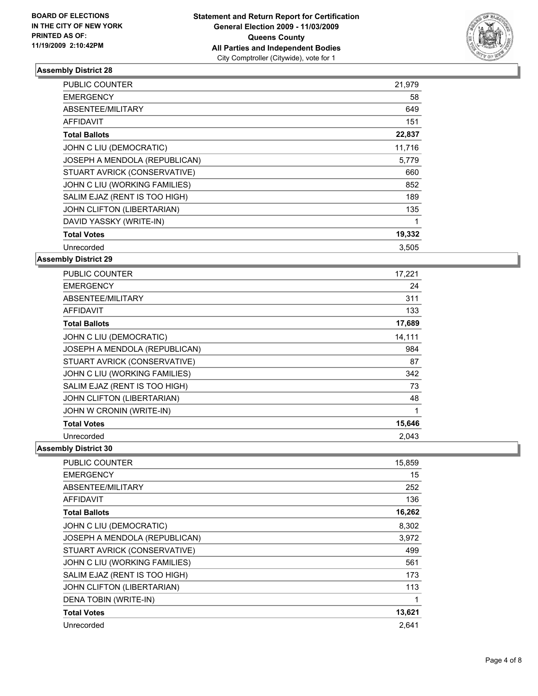

| <b>PUBLIC COUNTER</b>         | 21,979 |
|-------------------------------|--------|
| <b>EMERGENCY</b>              | 58     |
| ABSENTEE/MILITARY             | 649    |
| <b>AFFIDAVIT</b>              | 151    |
| <b>Total Ballots</b>          | 22,837 |
| JOHN C LIU (DEMOCRATIC)       | 11,716 |
| JOSEPH A MENDOLA (REPUBLICAN) | 5,779  |
| STUART AVRICK (CONSERVATIVE)  | 660    |
| JOHN C LIU (WORKING FAMILIES) | 852    |
| SALIM EJAZ (RENT IS TOO HIGH) | 189    |
| JOHN CLIFTON (LIBERTARIAN)    | 135    |
| DAVID YASSKY (WRITE-IN)       | 1      |
| <b>Total Votes</b>            | 19,332 |
| Unrecorded                    | 3,505  |

**Assembly District 29**

| <b>PUBLIC COUNTER</b>         | 17,221 |
|-------------------------------|--------|
| <b>EMERGENCY</b>              | 24     |
| ABSENTEE/MILITARY             | 311    |
| <b>AFFIDAVIT</b>              | 133    |
| <b>Total Ballots</b>          | 17,689 |
| JOHN C LIU (DEMOCRATIC)       | 14,111 |
| JOSEPH A MENDOLA (REPUBLICAN) | 984    |
| STUART AVRICK (CONSERVATIVE)  | 87     |
| JOHN C LIU (WORKING FAMILIES) | 342    |
| SALIM EJAZ (RENT IS TOO HIGH) | 73     |
| JOHN CLIFTON (LIBERTARIAN)    | 48     |
| JOHN W CRONIN (WRITE-IN)      | 1      |
| <b>Total Votes</b>            | 15,646 |
| Unrecorded                    | 2.043  |

| PUBLIC COUNTER                | 15,859 |
|-------------------------------|--------|
| <b>EMERGENCY</b>              | 15     |
| ABSENTEE/MILITARY             | 252    |
| <b>AFFIDAVIT</b>              | 136    |
| <b>Total Ballots</b>          | 16,262 |
| JOHN C LIU (DEMOCRATIC)       | 8,302  |
| JOSEPH A MENDOLA (REPUBLICAN) | 3,972  |
| STUART AVRICK (CONSERVATIVE)  | 499    |
| JOHN C LIU (WORKING FAMILIES) | 561    |
| SALIM EJAZ (RENT IS TOO HIGH) | 173    |
| JOHN CLIFTON (LIBERTARIAN)    | 113    |
| DENA TOBIN (WRITE-IN)         | 1      |
| <b>Total Votes</b>            | 13,621 |
| Unrecorded                    | 2,641  |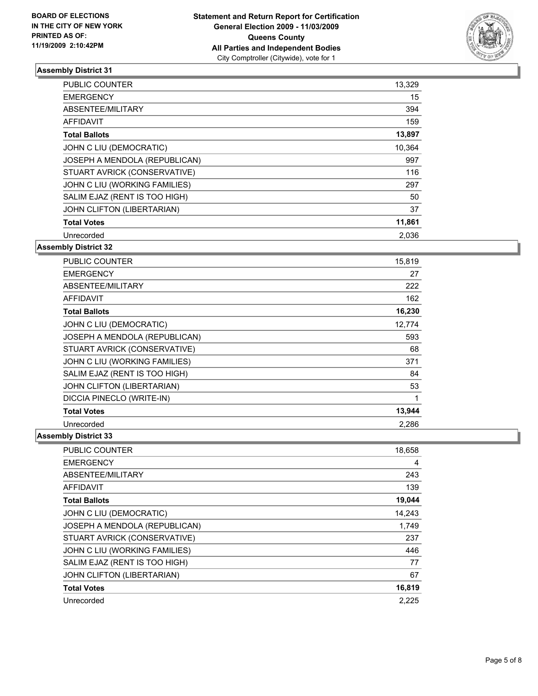

| PUBLIC COUNTER                | 13,329 |
|-------------------------------|--------|
| <b>EMERGENCY</b>              | 15     |
| ABSENTEE/MILITARY             | 394    |
| <b>AFFIDAVIT</b>              | 159    |
| <b>Total Ballots</b>          | 13,897 |
| JOHN C LIU (DEMOCRATIC)       | 10,364 |
| JOSEPH A MENDOLA (REPUBLICAN) | 997    |
| STUART AVRICK (CONSERVATIVE)  | 116    |
| JOHN C LIU (WORKING FAMILIES) | 297    |
| SALIM EJAZ (RENT IS TOO HIGH) | 50     |
| JOHN CLIFTON (LIBERTARIAN)    | 37     |
| <b>Total Votes</b>            | 11,861 |
| Unrecorded                    | 2,036  |

#### **Assembly District 32**

| <b>PUBLIC COUNTER</b>         | 15,819 |
|-------------------------------|--------|
| <b>EMERGENCY</b>              | 27     |
| ABSENTEE/MILITARY             | 222    |
| AFFIDAVIT                     | 162    |
| <b>Total Ballots</b>          | 16,230 |
| JOHN C LIU (DEMOCRATIC)       | 12,774 |
| JOSEPH A MENDOLA (REPUBLICAN) | 593    |
| STUART AVRICK (CONSERVATIVE)  | 68     |
| JOHN C LIU (WORKING FAMILIES) | 371    |
| SALIM EJAZ (RENT IS TOO HIGH) | 84     |
| JOHN CLIFTON (LIBERTARIAN)    | 53     |
| DICCIA PINECLO (WRITE-IN)     | 1      |
| <b>Total Votes</b>            | 13,944 |
| Unrecorded                    | 2,286  |

| <b>PUBLIC COUNTER</b>             | 18,658 |
|-----------------------------------|--------|
| <b>EMERGENCY</b>                  | 4      |
| ABSENTEE/MILITARY                 | 243    |
| <b>AFFIDAVIT</b>                  | 139    |
| <b>Total Ballots</b>              | 19,044 |
| JOHN C LIU (DEMOCRATIC)           | 14,243 |
| JOSEPH A MENDOLA (REPUBLICAN)     | 1,749  |
| STUART AVRICK (CONSERVATIVE)      | 237    |
| JOHN C LIU (WORKING FAMILIES)     | 446    |
| SALIM EJAZ (RENT IS TOO HIGH)     | 77     |
| <b>JOHN CLIFTON (LIBERTARIAN)</b> | 67     |
| <b>Total Votes</b>                | 16,819 |
| Unrecorded                        | 2,225  |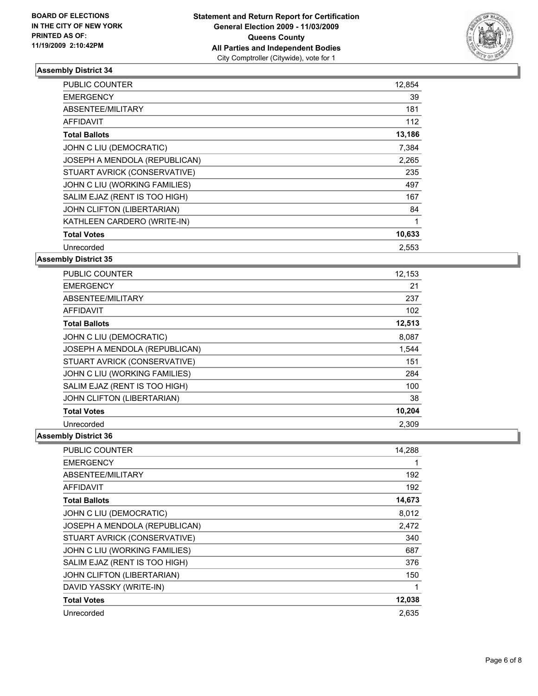

| <b>PUBLIC COUNTER</b>             | 12,854 |
|-----------------------------------|--------|
| <b>EMERGENCY</b>                  | 39     |
| ABSENTEE/MILITARY                 | 181    |
| <b>AFFIDAVIT</b>                  | 112    |
| <b>Total Ballots</b>              | 13,186 |
| JOHN C LIU (DEMOCRATIC)           | 7,384  |
| JOSEPH A MENDOLA (REPUBLICAN)     | 2,265  |
| STUART AVRICK (CONSERVATIVE)      | 235    |
| JOHN C LIU (WORKING FAMILIES)     | 497    |
| SALIM EJAZ (RENT IS TOO HIGH)     | 167    |
| <b>JOHN CLIFTON (LIBERTARIAN)</b> | 84     |
| KATHLEEN CARDERO (WRITE-IN)       | 1      |
| <b>Total Votes</b>                | 10,633 |
| Unrecorded                        | 2,553  |
|                                   |        |

**Assembly District 35**

| <b>PUBLIC COUNTER</b>         | 12,153 |
|-------------------------------|--------|
| <b>EMERGENCY</b>              | 21     |
| ABSENTEE/MILITARY             | 237    |
| AFFIDAVIT                     | 102    |
| <b>Total Ballots</b>          | 12,513 |
| JOHN C LIU (DEMOCRATIC)       | 8,087  |
| JOSEPH A MENDOLA (REPUBLICAN) | 1,544  |
| STUART AVRICK (CONSERVATIVE)  | 151    |
| JOHN C LIU (WORKING FAMILIES) | 284    |
| SALIM EJAZ (RENT IS TOO HIGH) | 100    |
| JOHN CLIFTON (LIBERTARIAN)    | 38     |
| <b>Total Votes</b>            | 10,204 |
| Unrecorded                    | 2,309  |

| <b>PUBLIC COUNTER</b>         | 14,288 |
|-------------------------------|--------|
| <b>EMERGENCY</b>              |        |
| ABSENTEE/MILITARY             | 192    |
| <b>AFFIDAVIT</b>              | 192    |
| <b>Total Ballots</b>          | 14,673 |
| JOHN C LIU (DEMOCRATIC)       | 8,012  |
| JOSEPH A MENDOLA (REPUBLICAN) | 2,472  |
| STUART AVRICK (CONSERVATIVE)  | 340    |
| JOHN C LIU (WORKING FAMILIES) | 687    |
| SALIM EJAZ (RENT IS TOO HIGH) | 376    |
| JOHN CLIFTON (LIBERTARIAN)    | 150    |
| DAVID YASSKY (WRITE-IN)       | 1      |
| <b>Total Votes</b>            | 12,038 |
| Unrecorded                    | 2,635  |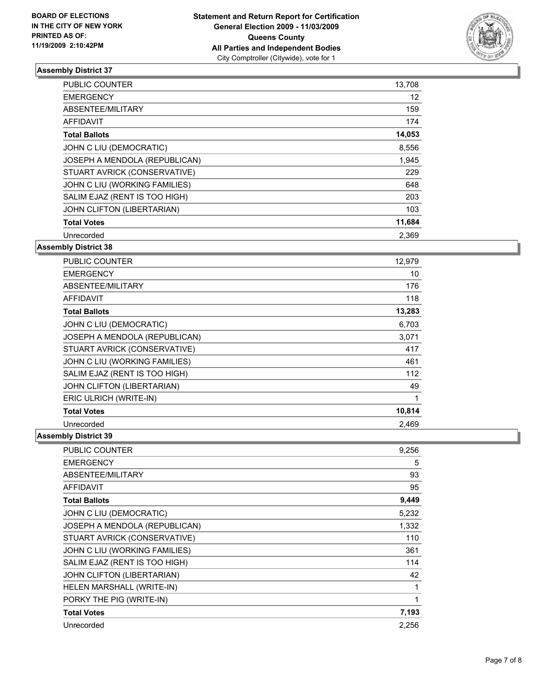

| <b>PUBLIC COUNTER</b>         | 13,708 |
|-------------------------------|--------|
| <b>EMERGENCY</b>              | 12     |
| ABSENTEE/MILITARY             | 159    |
| <b>AFFIDAVIT</b>              | 174    |
| <b>Total Ballots</b>          | 14,053 |
| JOHN C LIU (DEMOCRATIC)       | 8,556  |
| JOSEPH A MENDOLA (REPUBLICAN) | 1,945  |
| STUART AVRICK (CONSERVATIVE)  | 229    |
| JOHN C LIU (WORKING FAMILIES) | 648    |
| SALIM EJAZ (RENT IS TOO HIGH) | 203    |
| JOHN CLIFTON (LIBERTARIAN)    | 103    |
| <b>Total Votes</b>            | 11,684 |
| Unrecorded                    | 2,369  |

#### **Assembly District 38**

| PUBLIC COUNTER                | 12,979 |
|-------------------------------|--------|
| <b>EMERGENCY</b>              | 10     |
| ABSENTEE/MILITARY             | 176    |
| <b>AFFIDAVIT</b>              | 118    |
| <b>Total Ballots</b>          | 13,283 |
| JOHN C LIU (DEMOCRATIC)       | 6,703  |
| JOSEPH A MENDOLA (REPUBLICAN) | 3,071  |
| STUART AVRICK (CONSERVATIVE)  | 417    |
| JOHN C LIU (WORKING FAMILIES) | 461    |
| SALIM EJAZ (RENT IS TOO HIGH) | 112    |
| JOHN CLIFTON (LIBERTARIAN)    | 49     |
| ERIC ULRICH (WRITE-IN)        | 1      |
| <b>Total Votes</b>            | 10,814 |
| Unrecorded                    | 2,469  |

| <b>PUBLIC COUNTER</b>             | 9,256 |
|-----------------------------------|-------|
| <b>EMERGENCY</b>                  | 5     |
| ABSENTEE/MILITARY                 | 93    |
| <b>AFFIDAVIT</b>                  | 95    |
| <b>Total Ballots</b>              | 9,449 |
| JOHN C LIU (DEMOCRATIC)           | 5,232 |
| JOSEPH A MENDOLA (REPUBLICAN)     | 1,332 |
| STUART AVRICK (CONSERVATIVE)      | 110   |
| JOHN C LIU (WORKING FAMILIES)     | 361   |
| SALIM EJAZ (RENT IS TOO HIGH)     | 114   |
| <b>JOHN CLIFTON (LIBERTARIAN)</b> | 42    |
| HELEN MARSHALL (WRITE-IN)         | 1     |
| PORKY THE PIG (WRITE-IN)          | 1     |
| <b>Total Votes</b>                | 7,193 |
| Unrecorded                        | 2,256 |